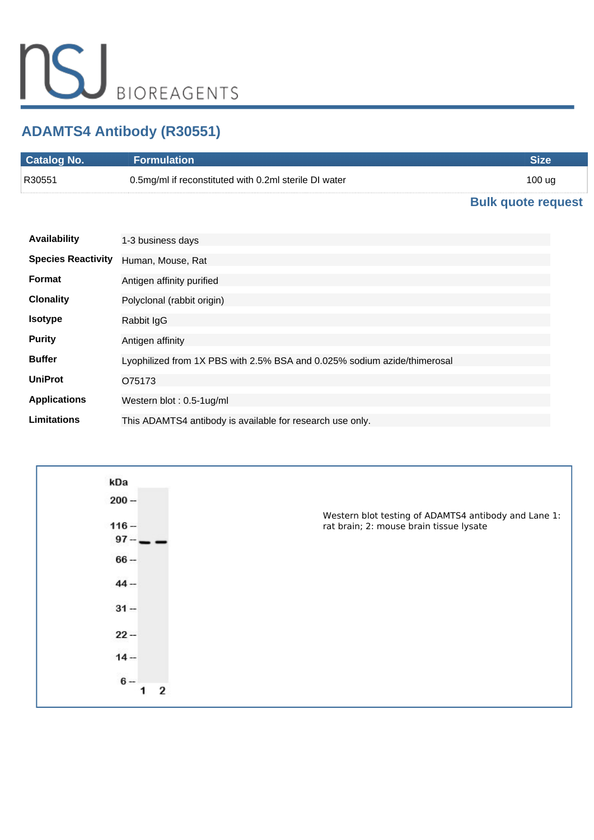# **ADAMTS4 Antibody (R30551)**

| <b>Catalog No.</b> | <b>Formulation</b>                                    |        |
|--------------------|-------------------------------------------------------|--------|
| R30551             | 0.5mg/ml if reconstituted with 0.2ml sterile DI water | 100 ug |
|                    |                                                       | . .    |

### **[Bulk quote request](https://www.nsjbio.com/bulk_quotereq.php?root_cat_no=R30551)**

| <b>Availability</b>       | 1-3 business days                                                        |
|---------------------------|--------------------------------------------------------------------------|
| <b>Species Reactivity</b> | Human, Mouse, Rat                                                        |
| Format                    | Antigen affinity purified                                                |
| <b>Clonality</b>          | Polyclonal (rabbit origin)                                               |
| <b>Isotype</b>            | Rabbit IgG                                                               |
| <b>Purity</b>             | Antigen affinity                                                         |
| <b>Buffer</b>             | Lyophilized from 1X PBS with 2.5% BSA and 0.025% sodium azide/thimerosal |
| <b>UniProt</b>            | O75173                                                                   |
| <b>Applications</b>       | Western blot: 0.5-1ug/ml                                                 |
| Limitations               | This ADAMTS4 antibody is available for research use only.                |

| kDa       |                                                                                                 |
|-----------|-------------------------------------------------------------------------------------------------|
| $200 -$   |                                                                                                 |
| $116 -$   | Western blot testing of ADAMTS4 antibody and Lane 1:<br>rat brain; 2: mouse brain tissue lysate |
| $97 -$    |                                                                                                 |
| $66 -$    |                                                                                                 |
| $44 -$    |                                                                                                 |
| $31 -$    |                                                                                                 |
| $22 -$    |                                                                                                 |
| $14 -$    |                                                                                                 |
| $6-$<br>2 |                                                                                                 |